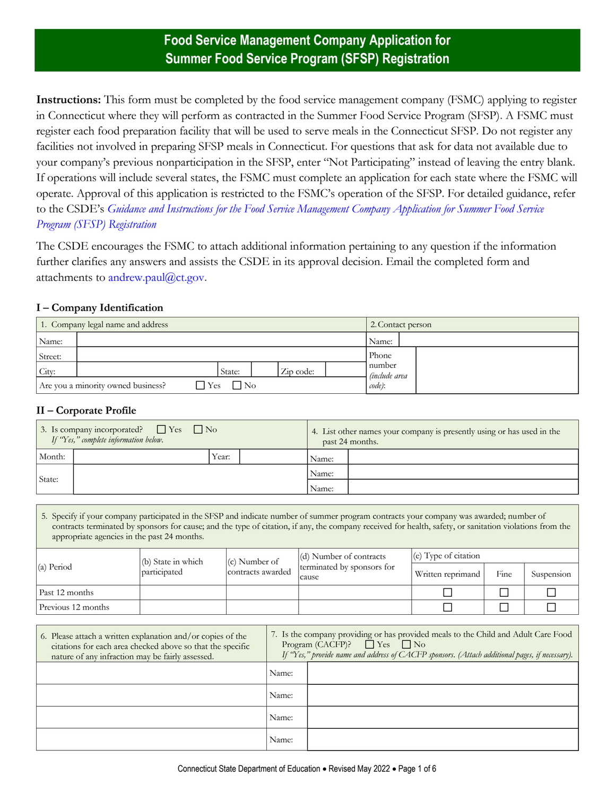# **Food Service Management Company Application for Summer Food Service Program (SFSP) Registration**

**Instructions:** This form must be completed by the food service management company (FSMC) applying to register in Connecticut where they will perform as contracted in the Summer Food Service Program (SFSP). A FSMC must register each food preparation facility that will be used to serve meals in the Connecticut SFSP. Do not register any facilities not involved in preparing SFSP meals in Connecticut. For questions that ask for data not available due to your company's previous nonparticipation in the SFSP, enter "Not Participating" instead of leaving the entry blank. If operations will include several states, the FSMC must complete an application for each state where the FSMC will operate. Approval of this application is restricted to the FSMC's operation of the SFSP. For detailed guidance, refer to the CSDE's *[Guidance and Instructions for the Food Service Management Company Application for Summer Food Service](http://portal.ct.gov/-/media/SDE/Nutrition/FSMC/SFSP_Food_Service_Management_Company_Application_Instructions.pdf)  [Program \(SFSP\) Registration](http://portal.ct.gov/-/media/SDE/Nutrition/FSMC/SFSP_Food_Service_Management_Company_Application_Instructions.pdf)*

The CSDE encourages the FSMC to attach additional information pertaining to any question if the information further clarifies any answers and assists the CSDE in its approval decision. Email the completed form and attachments to andrew.paul@ct.gov.

#### **I – Company Identification**

|         | 1. Company legal name and address                             | 2. Contact person              |
|---------|---------------------------------------------------------------|--------------------------------|
| Name:   |                                                               | Name:                          |
| Street: |                                                               | Phone                          |
| City:   | Zip code:<br>State:                                           | number<br><i>(include area</i> |
|         | $\Box$ No<br>Are you a minority owned business?<br><b>Yes</b> | code):                         |

#### **II – Corporate Profile**

| 3. Is company incorporated? $\Box$ Yes $\Box$ No<br>If "Yes," complete information below. |  |       | 4. List other names your company is presently using or has used in the<br>past 24 months. |  |  |
|-------------------------------------------------------------------------------------------|--|-------|-------------------------------------------------------------------------------------------|--|--|
| Month:                                                                                    |  | Year: | Name:                                                                                     |  |  |
|                                                                                           |  |       | Name:                                                                                     |  |  |
| State:                                                                                    |  |       | Name:                                                                                     |  |  |

5. Specify if your company participated in the SFSP and indicate number of summer program contracts your company was awarded; number of contracts terminated by sponsors for cause; and the type of citation, if any, the company received for health, safety, or sanitation violations from the appropriate agencies in the past 24 months.

|                    | (b) State in which | $(c)$ Number of<br>contracts awarded | $\vert$ (d) Number of contracts<br>terminated by sponsors for<br>cause | $(c)$ Type of citation |      |            |
|--------------------|--------------------|--------------------------------------|------------------------------------------------------------------------|------------------------|------|------------|
| (a) Period         | participated       |                                      |                                                                        | Written reprimand      | Fine | Suspension |
| Past 12 months     |                    |                                      |                                                                        |                        |      |            |
| Previous 12 months |                    |                                      |                                                                        |                        |      |            |

| 6. Please attach a written explanation and/or copies of the<br>citations for each area checked above so that the specific<br>nature of any infraction may be fairly assessed. | 7. Is the company providing or has provided meals to the Child and Adult Care Food<br>Program (CACFP)? $\Box$ Yes $\Box$ No<br>If "Yes," provide name and address of CACFP sponsors. (Attach additional pages, if necessary). |  |
|-------------------------------------------------------------------------------------------------------------------------------------------------------------------------------|-------------------------------------------------------------------------------------------------------------------------------------------------------------------------------------------------------------------------------|--|
|                                                                                                                                                                               | Name:                                                                                                                                                                                                                         |  |
|                                                                                                                                                                               | Name:                                                                                                                                                                                                                         |  |
|                                                                                                                                                                               | Name:                                                                                                                                                                                                                         |  |
|                                                                                                                                                                               | Name:                                                                                                                                                                                                                         |  |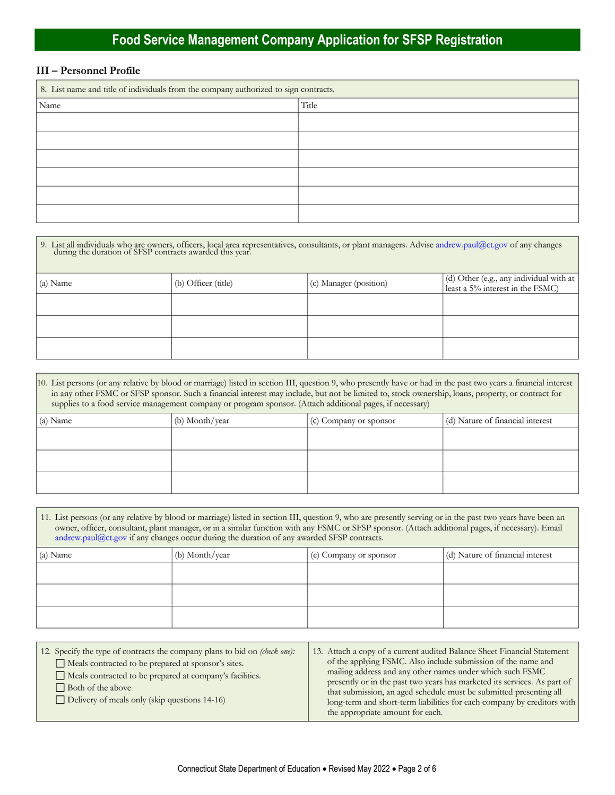# **Food Service Management Company Application for SFSP Registration**

#### **III – Personnel Profile**

| 8. List name and title of individuals from the company authorized to sign contracts. |       |  |  |
|--------------------------------------------------------------------------------------|-------|--|--|
| Name                                                                                 | Title |  |  |
|                                                                                      |       |  |  |
|                                                                                      |       |  |  |
|                                                                                      |       |  |  |
|                                                                                      |       |  |  |
|                                                                                      |       |  |  |
|                                                                                      |       |  |  |

| 9. List all individuals who are owners, officers, local area representatives, consultants, or plant managers. Advise andrew.paul@ct.gov of any changes during the duration of SFSP contracts awarded this year. |                     |                        |                                                                             |  |  |
|-----------------------------------------------------------------------------------------------------------------------------------------------------------------------------------------------------------------|---------------------|------------------------|-----------------------------------------------------------------------------|--|--|
| (a) Name                                                                                                                                                                                                        | (b) Officer (title) | (c) Manager (position) | (d) Other (e.g., any individual with at<br>least a 5% interest in the FSMC) |  |  |
|                                                                                                                                                                                                                 |                     |                        |                                                                             |  |  |
|                                                                                                                                                                                                                 |                     |                        |                                                                             |  |  |
|                                                                                                                                                                                                                 |                     |                        |                                                                             |  |  |

| 10. List persons (or any relative by blood or marriage) listed in section III, question 9, who presently have or had in the past two years a financial interest<br>in any other FSMC or SFSP sponsor. Such a financial interest may include, but not be limited to, stock ownership, loans, property, or contract for<br>supplies to a food service management company or program sponsor. (Attach additional pages, if necessary) |                                                                              |  |  |  |  |  |
|------------------------------------------------------------------------------------------------------------------------------------------------------------------------------------------------------------------------------------------------------------------------------------------------------------------------------------------------------------------------------------------------------------------------------------|------------------------------------------------------------------------------|--|--|--|--|--|
| (a) Name                                                                                                                                                                                                                                                                                                                                                                                                                           | (d) Nature of financial interest<br>(b) Month/year<br>(c) Company or sponsor |  |  |  |  |  |
|                                                                                                                                                                                                                                                                                                                                                                                                                                    |                                                                              |  |  |  |  |  |
|                                                                                                                                                                                                                                                                                                                                                                                                                                    |                                                                              |  |  |  |  |  |
|                                                                                                                                                                                                                                                                                                                                                                                                                                    |                                                                              |  |  |  |  |  |

| 11. List persons (or any relative by blood or marriage) listed in section III, question 9, who are presently serving or in the past two years have been an<br>owner, officer, consultant, plant manager, or in a similar function with any FSMC or SFSP sponsor. (Attach additional pages, if necessary). Email<br>andrew.paul@ct.gov if any changes occur during the duration of any awarded SFSP contracts. |  |  |  |  |  |
|---------------------------------------------------------------------------------------------------------------------------------------------------------------------------------------------------------------------------------------------------------------------------------------------------------------------------------------------------------------------------------------------------------------|--|--|--|--|--|
| (d) Nature of financial interest<br>(a) Name<br>(b) Month/year<br>(c) Company or sponsor                                                                                                                                                                                                                                                                                                                      |  |  |  |  |  |
|                                                                                                                                                                                                                                                                                                                                                                                                               |  |  |  |  |  |
|                                                                                                                                                                                                                                                                                                                                                                                                               |  |  |  |  |  |
|                                                                                                                                                                                                                                                                                                                                                                                                               |  |  |  |  |  |
|                                                                                                                                                                                                                                                                                                                                                                                                               |  |  |  |  |  |

| 12. Specify the type of contracts the company plans to bid on <i>(check one)</i> :<br>Meals contracted to be prepared at sponsor's sites.<br>Meals contracted to be prepared at company's facilities.<br>Both of the above<br>Delivery of meals only (skip questions $14-16$ ) | 13. Attach a copy of a current audited Balance Sheet Financial Statement<br>of the applying FSMC. Also include submission of the name and<br>mailing address and any other names under which such FSMC<br>presently or in the past two years has marketed its services. As part of<br>that submission, an aged schedule must be submitted presenting all<br>long-term and short-term liabilities for each company by creditors with<br>the appropriate amount for each. |
|--------------------------------------------------------------------------------------------------------------------------------------------------------------------------------------------------------------------------------------------------------------------------------|-------------------------------------------------------------------------------------------------------------------------------------------------------------------------------------------------------------------------------------------------------------------------------------------------------------------------------------------------------------------------------------------------------------------------------------------------------------------------|
|--------------------------------------------------------------------------------------------------------------------------------------------------------------------------------------------------------------------------------------------------------------------------------|-------------------------------------------------------------------------------------------------------------------------------------------------------------------------------------------------------------------------------------------------------------------------------------------------------------------------------------------------------------------------------------------------------------------------------------------------------------------------|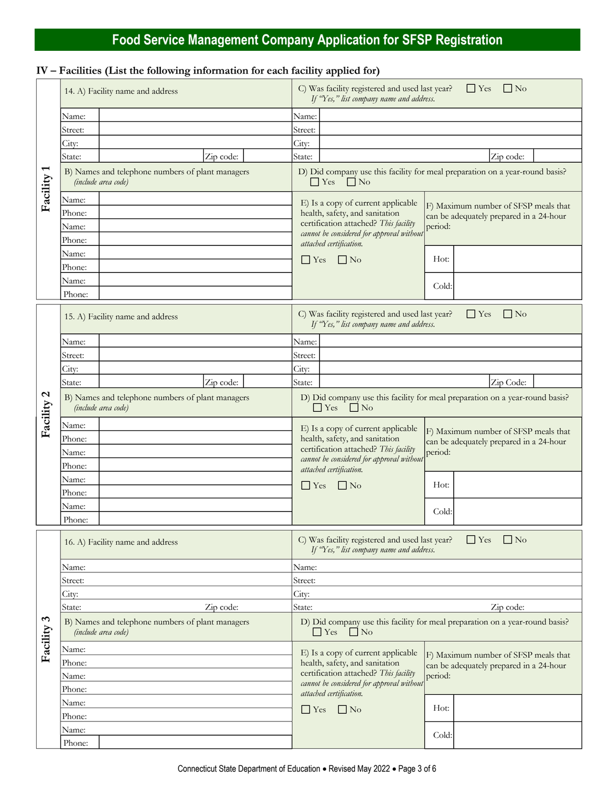# **Food Service Management Company Application for SFSP Registration**

## **IV – Facilities (List the following information for each facility applied for)**

|                          | 14. A) Facility name and address                                        | C) Was facility registered and used last year?<br>$\Box$ Yes<br>    No<br>If "Yes," list company name and address.                                                                                                                                                                  |
|--------------------------|-------------------------------------------------------------------------|-------------------------------------------------------------------------------------------------------------------------------------------------------------------------------------------------------------------------------------------------------------------------------------|
|                          | Name:                                                                   | Name:                                                                                                                                                                                                                                                                               |
|                          | Street:                                                                 | Street:                                                                                                                                                                                                                                                                             |
|                          | City:                                                                   | City:                                                                                                                                                                                                                                                                               |
|                          | Zip code:<br>State:                                                     | State:<br>Zip code:                                                                                                                                                                                                                                                                 |
| Facility 1               | B) Names and telephone numbers of plant managers<br>(include area code) | D) Did company use this facility for meal preparation on a year-round basis?<br>$\Box$ Yes $\Box$ No                                                                                                                                                                                |
|                          | Name:<br>Phone:<br>Name:                                                | E) Is a copy of current applicable<br>F) Maximum number of SFSP meals that<br>health, safety, and sanitation<br>can be adequately prepared in a 24-hour<br>certification attached? This facility<br>period:                                                                         |
|                          | Phone:                                                                  | cannot be considered for approval without                                                                                                                                                                                                                                           |
|                          | Name:                                                                   | attached certification.                                                                                                                                                                                                                                                             |
|                          | Phone:                                                                  | Hot:<br>$\Box$ Yes<br>$\Box$ No                                                                                                                                                                                                                                                     |
|                          | Name:                                                                   |                                                                                                                                                                                                                                                                                     |
|                          | Phone:                                                                  | Cold:                                                                                                                                                                                                                                                                               |
|                          |                                                                         |                                                                                                                                                                                                                                                                                     |
|                          | 15. A) Facility name and address                                        | C) Was facility registered and used last year?<br>$\Box$ Yes<br>$\Box$ No<br>If "Yes," list company name and address.                                                                                                                                                               |
|                          | Name:                                                                   | Name:                                                                                                                                                                                                                                                                               |
|                          | Street:                                                                 | Street:                                                                                                                                                                                                                                                                             |
|                          | City:                                                                   | City:                                                                                                                                                                                                                                                                               |
| $\mathbf{c}$<br>Facility | Zip code:<br>State:                                                     | Zip Code:<br>State:                                                                                                                                                                                                                                                                 |
|                          | B) Names and telephone numbers of plant managers<br>(include area code) | D) Did company use this facility for meal preparation on a year-round basis?<br>$\Box$ No<br>$\Box$ Yes                                                                                                                                                                             |
|                          | Name:<br>Phone:<br>Name:<br>Phone:                                      | E) Is a copy of current applicable<br>F) Maximum number of SFSP meals that<br>health, safety, and sanitation<br>can be adequately prepared in a 24-hour<br>certification attached? This facility<br>period:<br>cannot be considered for approval without<br>attached certification. |
|                          | Name:<br>Phone:                                                         | Hot:<br>$\Box$ No<br>$\Box$ Yes                                                                                                                                                                                                                                                     |
|                          | Name:                                                                   |                                                                                                                                                                                                                                                                                     |
|                          | Phone:                                                                  | Cold:                                                                                                                                                                                                                                                                               |
|                          | 16. A) Facility name and address                                        | C) Was facility registered and used last year?<br>$\Gamma$ Yes<br>$\Box$ No<br>If "Yes," list company name and address.                                                                                                                                                             |
|                          | Name:                                                                   | Name:                                                                                                                                                                                                                                                                               |
|                          | Street:                                                                 | Street:                                                                                                                                                                                                                                                                             |
|                          | City:                                                                   | City:                                                                                                                                                                                                                                                                               |
|                          | State:<br>Zip code:                                                     | State:<br>Zip code:                                                                                                                                                                                                                                                                 |
| $\tilde{\mathcal{E}}$    | B) Names and telephone numbers of plant managers<br>(include area code) | D) Did company use this facility for meal preparation on a year-round basis?<br>$\Box$ Yes<br>$\Box$ No                                                                                                                                                                             |
| Facility                 | Name:<br>Phone:<br>Name:<br>Phone:                                      | E) Is a copy of current applicable<br>F) Maximum number of SFSP meals that<br>health, safety, and sanitation<br>can be adequately prepared in a 24-hour<br>certification attached? This facility<br>period:<br>cannot be considered for approval without<br>attached certification. |
|                          | Name:                                                                   |                                                                                                                                                                                                                                                                                     |
|                          | Phone:                                                                  | Hot:<br>$\Box$ Yes<br>$\Box$ No                                                                                                                                                                                                                                                     |
|                          | Name:                                                                   |                                                                                                                                                                                                                                                                                     |
|                          | Phone:                                                                  | Cold:                                                                                                                                                                                                                                                                               |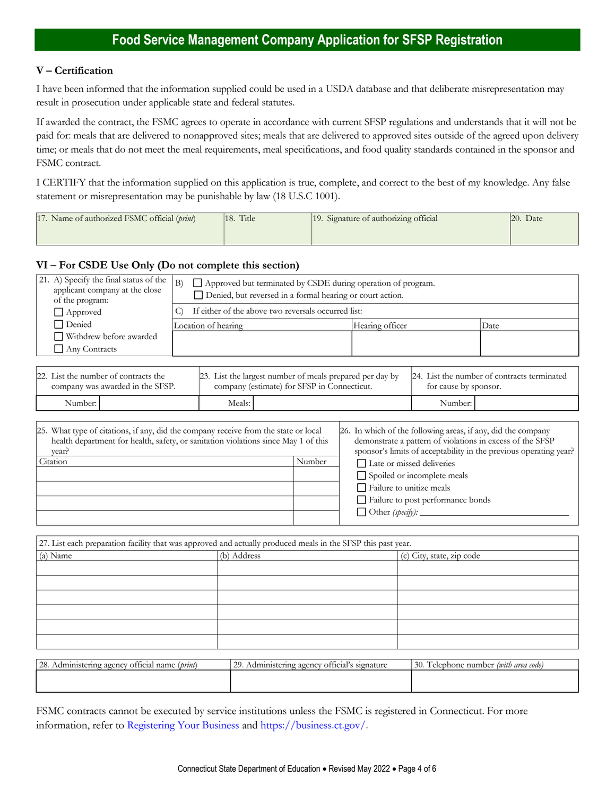#### **V – Certification**

I have been informed that the information supplied could be used in a USDA database and that deliberate misrepresentation may result in prosecution under applicable state and federal statutes.

If awarded the contract, the FSMC agrees to operate in accordance with current SFSP regulations and understands that it will not be paid for: meals that are delivered to nonapproved sites; meals that are delivered to approved sites outside of the agreed upon delivery time; or meals that do not meet the meal requirements, meal specifications, and food quality standards contained in the sponsor and FSMC contract.

I CERTIFY that the information supplied on this application is true, complete, and correct to the best of my knowledge. Any false statement or misrepresentation may be punishable by law (18 U.S.C 1001).

| 17. Name of authorized FSMC official ( <i>print</i> ) | Title<br>18. | 19. Signature of authorizing official | Date |
|-------------------------------------------------------|--------------|---------------------------------------|------|
|                                                       |              |                                       |      |

#### **VI – For CSDE Use Only (Do not complete this section)**

| 21. A) Specify the final status of the<br>applicant company at the close<br>of the program: | B)<br>Approved but terminated by CSDE during operation of program.<br>Denied, but reversed in a formal hearing or court action. |                     |                 |      |
|---------------------------------------------------------------------------------------------|---------------------------------------------------------------------------------------------------------------------------------|---------------------|-----------------|------|
| $\Box$ Approved                                                                             | If either of the above two reversals occurred list:                                                                             |                     |                 |      |
| Denied                                                                                      |                                                                                                                                 | Location of hearing | Hearing officer | Date |
| Withdrew before awarded                                                                     |                                                                                                                                 |                     |                 |      |
| Any Contracts                                                                               |                                                                                                                                 |                     |                 |      |

| 22. List the number of contracts the |  |          | 23. List the largest number of meals prepared per day by | 24. List the number of contracts terminated |  |
|--------------------------------------|--|----------|----------------------------------------------------------|---------------------------------------------|--|
| company was awarded in the SFSP.     |  |          | company (estimate) for SFSP in Connecticut.              | for cause by sponsor.                       |  |
| Number:                              |  | Meals: I |                                                          | Number:                                     |  |

| 25. What type of citations, if any, did the company receive from the state or local<br>health department for health, safety, or sanitation violations since May 1 of this<br>year? | 26. In which of the following areas, if any, did the company<br>demonstrate a pattern of violations in excess of the SFSP<br>sponsor's limits of acceptability in the previous operating year? |                                   |
|------------------------------------------------------------------------------------------------------------------------------------------------------------------------------------|------------------------------------------------------------------------------------------------------------------------------------------------------------------------------------------------|-----------------------------------|
| Citation                                                                                                                                                                           | Number                                                                                                                                                                                         | Late or missed deliveries         |
|                                                                                                                                                                                    |                                                                                                                                                                                                | Spoiled or incomplete meals       |
|                                                                                                                                                                                    |                                                                                                                                                                                                | Failure to unitize meals          |
|                                                                                                                                                                                    |                                                                                                                                                                                                | Failure to post performance bonds |
|                                                                                                                                                                                    |                                                                                                                                                                                                | $\Box$ Other (specify):           |

| 27. List each preparation facility that was approved and actually produced meals in the SFSP this past year. |             |                           |  |  |  |
|--------------------------------------------------------------------------------------------------------------|-------------|---------------------------|--|--|--|
| (a) Name                                                                                                     | (b) Address | (c) City, state, zip code |  |  |  |
|                                                                                                              |             |                           |  |  |  |
|                                                                                                              |             |                           |  |  |  |
|                                                                                                              |             |                           |  |  |  |
|                                                                                                              |             |                           |  |  |  |
|                                                                                                              |             |                           |  |  |  |
|                                                                                                              |             |                           |  |  |  |
|                                                                                                              |             |                           |  |  |  |

| 28.<br>. Administering agency official name ( <i>brint</i> ) | 29. Administering agency official's signature | 30.<br>J. Telephone number <i>(with area code)</i> |
|--------------------------------------------------------------|-----------------------------------------------|----------------------------------------------------|
|                                                              |                                               |                                                    |
|                                                              |                                               |                                                    |

FSMC contracts cannot be executed by service institutions unless the FSMC is registered in Connecticut. For more information, refer to [Registering Your Business](https://business.ct.gov/start/registering-your-business?language=en_US) and [https://business.ct.gov/.](https://business.ct.gov/?language=en_US)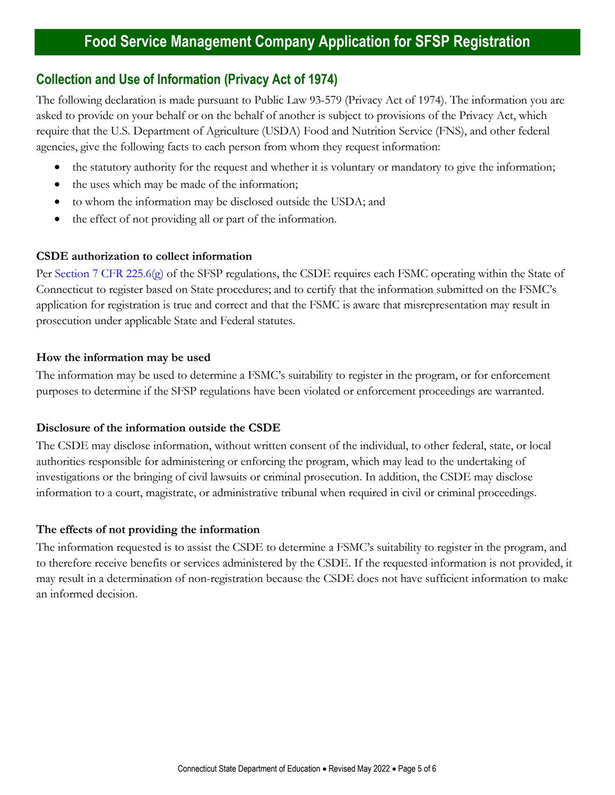# **Collection and Use of Information (Privacy Act of 1974)**

The following declaration is made pursuant to Public Law 93-579 (Privacy Act of 1974). The information you are asked to provide on your behalf or on the behalf of another is subject to provisions of the Privacy Act, which require that the U.S. Department of Agriculture (USDA) Food and Nutrition Service (FNS), and other federal agencies, give the following facts to each person from whom they request information:

- the statutory authority for the request and whether it is voluntary or mandatory to give the information;
- the uses which may be made of the information;
- to whom the information may be disclosed outside the USDA; and
- the effect of not providing all or part of the information.

## **CSDE authorization to collect information**

Per [Section 7 CFR 225.6\(g\)](https://www.ecfr.gov/current/title-7/subtitle-B/chapter-II/subchapter-A/part-225#p-225.6(g)) of the SFSP regulations, the CSDE requires each FSMC operating within the State of Connecticut to register based on State procedures; and to certify that the information submitted on the FSMC's application for registration is true and correct and that the FSMC is aware that misrepresentation may result in prosecution under applicable State and Federal statutes.

## **How the information may be used**

The information may be used to determine a FSMC's suitability to register in the program, or for enforcement purposes to determine if the SFSP regulations have been violated or enforcement proceedings are warranted.

## **Disclosure of the information outside the CSDE**

The CSDE may disclose information, without written consent of the individual, to other federal, state, or local authorities responsible for administering or enforcing the program, which may lead to the undertaking of investigations or the bringing of civil lawsuits or criminal prosecution. In addition, the CSDE may disclose information to a court, magistrate, or administrative tribunal when required in civil or criminal proceedings.

### **The effects of not providing the information**

The information requested is to assist the CSDE to determine a FSMC's suitability to register in the program, and to therefore receive benefits or services administered by the CSDE. If the requested information is not provided, it may result in a determination of non-registration because the CSDE does not have sufficient information to make an informed decision.